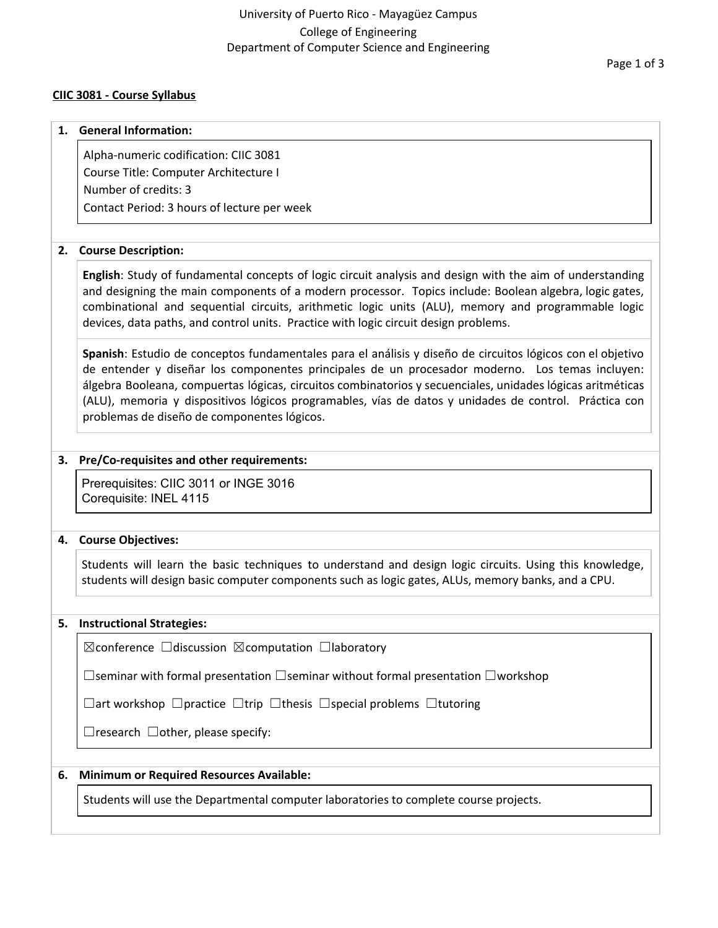#### **CIIC 3081 - Course Syllabus**

#### Page 1 of 3

# **1. General Information:** Alpha-numeric codification: CIIC 3081 Course Title: Computer Architecture I Number of credits: 3 Contact Period: 3 hours of lecture per week

## **2. Course Description:**

**English**: Study of fundamental concepts of logic circuit analysis and design with the aim of understanding and designing the main components of a modern processor. Topics include: Boolean algebra, logic gates, combinational and sequential circuits, arithmetic logic units (ALU), memory and programmable logic devices, data paths, and control units. Practice with logic circuit design problems.

**Spanish**: Estudio de conceptos fundamentales para el análisis y diseño de circuitos lógicos con el objetivo de entender y diseñar los componentes principales de un procesador moderno. Los temas incluyen: álgebra Booleana, compuertas lógicas, circuitos combinatorios y secuenciales, unidades lógicas aritméticas (ALU), memoria y dispositivos lógicos programables, vías de datos y unidades de control. Práctica con problemas de diseño de componentes lógicos.

## **3. Pre/Co-requisites and other requirements:**

Prerequisites: CIIC 3011 or INGE 3016 Corequisite: INEL 4115

#### **4. Course Objectives:**

Students will learn the basic techniques to understand and design logic circuits. Using this knowledge, students will design basic computer components such as logic gates, ALUs, memory banks, and a CPU.

#### **5. Instructional Strategies:**

☒conference ☐discussion ☒computation ☐laboratory

☐seminar with formal presentation ☐seminar without formal presentation ☐workshop

☐art workshop ☐practice ☐trip ☐thesis ☐special problems ☐tutoring

 $\Box$ research  $\Box$ other, please specify:

# **6. Minimum or Required Resources Available:**

Students will use the Departmental computer laboratories to complete course projects.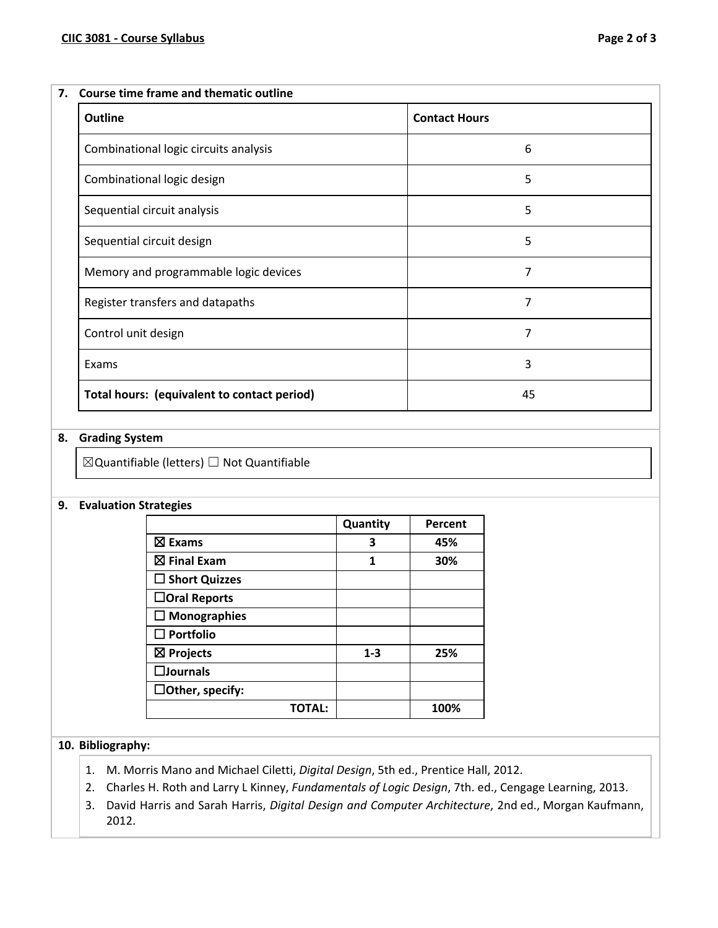#### **7. Course time frame and thematic outline**

| <b>Outline</b>                              | <b>Contact Hours</b> |  |
|---------------------------------------------|----------------------|--|
| Combinational logic circuits analysis       | 6                    |  |
| Combinational logic design                  | 5                    |  |
| Sequential circuit analysis                 | 5                    |  |
| Sequential circuit design                   | 5                    |  |
| Memory and programmable logic devices       | 7                    |  |
| Register transfers and datapaths            | 7                    |  |
| Control unit design                         | 7                    |  |
| Exams                                       | 3                    |  |
| Total hours: (equivalent to contact period) | 45                   |  |

#### **8. Grading System**

☒Quantifiable (letters) ☐ Not Quantifiable

#### **9. Evaluation Strategies**

|                        | Quantity | Percent |
|------------------------|----------|---------|
| $\boxtimes$ Exams      | 3        | 45%     |
| $\boxtimes$ Final Exam | 1        | 30%     |
| $\Box$ Short Quizzes   |          |         |
| $\Box$ Oral Reports    |          |         |
| $\Box$ Monographies    |          |         |
| $\square$ Portfolio    |          |         |
| $\boxtimes$ Projects   | $1 - 3$  | 25%     |
| $\square$ Journals     |          |         |
| $\Box$ Other, specify: |          |         |
| <b>TOTAL:</b>          |          | 100%    |

# **10. Bibliography:**

- 1. M. Morris Mano and Michael Ciletti, *Digital Design*, 5th ed., Prentice Hall, 2012.
- 2. Charles H. Roth and Larry L Kinney, *Fundamentals of Logic Design*, 7th. ed., Cengage Learning, 2013.
- 3. David Harris and Sarah Harris, *Digital Design and Computer Architecture*, 2nd ed., Morgan Kaufmann, 2012.